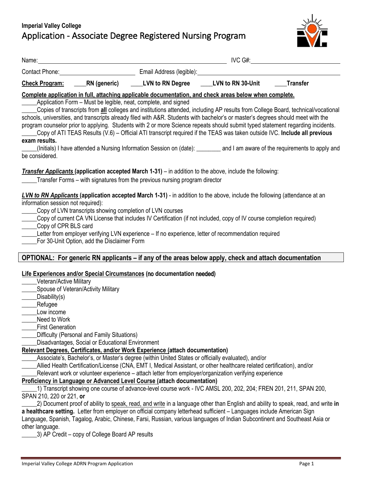

|                                                                     |                                                                                                          |                                                                             | Name: <u>Name:</u> Name: Name: Name: Name: Name: Name: Name: Name: Name: Name: Name: Name: Name: Name: Name: Name: Name: Name: Name: Name: Name: Name: Name: Name: Name: Name: Name: Name: Name: Name: Name: Name: Name: Name: Name                                                                                                                                                                                                                                                                                                                                                                                                                                                                                                                                           |                 |
|---------------------------------------------------------------------|----------------------------------------------------------------------------------------------------------|-----------------------------------------------------------------------------|-------------------------------------------------------------------------------------------------------------------------------------------------------------------------------------------------------------------------------------------------------------------------------------------------------------------------------------------------------------------------------------------------------------------------------------------------------------------------------------------------------------------------------------------------------------------------------------------------------------------------------------------------------------------------------------------------------------------------------------------------------------------------------|-----------------|
|                                                                     |                                                                                                          |                                                                             | Contact Phone: <u>Contact Phone:</u> Contact Phone: Contact Phone: Contact Phone: Contact Phone: Contact Phone: Contact Phone: Contact Phone: Contact Phone: Contact Phone: Contact Phone: Contact Phone: Contact Phone: Contact Ph                                                                                                                                                                                                                                                                                                                                                                                                                                                                                                                                           |                 |
| <b>Check Program:</b>                                               |                                                                                                          | RN (generic) ______LVN to RN Degree ______LVN to RN 30-Unit                 |                                                                                                                                                                                                                                                                                                                                                                                                                                                                                                                                                                                                                                                                                                                                                                               | <b>Transfer</b> |
| exam results.<br>be considered.                                     |                                                                                                          | Application Form - Must be legible, neat, complete, and signed              | Complete application in full, attaching applicable documentation, and check areas below when complete.<br>Copies of transcripts from all colleges and institutions attended, including AP results from College Board, technical/vocational<br>schools, universities, and transcripts already filed with A&R. Students with bachelor's or master's degrees should meet with the<br>program counselor prior to applying. Students with 2 or more Science repeats should submit typed statement regarding incidents.<br>Copy of ATI TEAS Results (V.6) – Official ATI transcript required if the TEAS was taken outside IVC. Include all previous<br>(Initials) I have attended a Nursing Information Session on (date): _______ and I am aware of the requirements to apply and |                 |
|                                                                     |                                                                                                          | Transfer Forms – with signatures from the previous nursing program director | Transfer Applicants (application accepted March 1-31) – in addition to the above, include the following:                                                                                                                                                                                                                                                                                                                                                                                                                                                                                                                                                                                                                                                                      |                 |
| information session not required):<br>Copy of CPR BLS card          | Copy of LVN transcripts showing completion of LVN courses<br>For 30-Unit Option, add the Disclaimer Form |                                                                             | LVN to RN Applicants (application accepted March 1-31) - in addition to the above, include the following (attendance at an<br>Copy of current CA VN License that includes IV Certification (if not included, copy of IV course completion required)<br>___Letter from employer verifying LVN experience - If no experience, letter of recommendation required                                                                                                                                                                                                                                                                                                                                                                                                                 |                 |
|                                                                     |                                                                                                          |                                                                             | OPTIONAL: For generic RN applicants – if any of the areas below apply, check and attach documentation                                                                                                                                                                                                                                                                                                                                                                                                                                                                                                                                                                                                                                                                         |                 |
| Veteran/Active Military<br>_Disability(s)<br>_Refugee<br>Low income | Spouse of Veteran/Activity Military                                                                      | Life Experiences and/or Special Circumstances (no documentation needed)     |                                                                                                                                                                                                                                                                                                                                                                                                                                                                                                                                                                                                                                                                                                                                                                               |                 |
| Need to Work<br><b>First Generation</b>                             | Difficulty (Personal and Family Situations)<br>Disadvantages, Social or Educational Environment          |                                                                             |                                                                                                                                                                                                                                                                                                                                                                                                                                                                                                                                                                                                                                                                                                                                                                               |                 |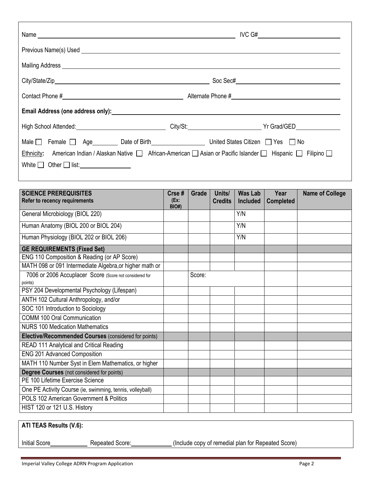|                                                                        | Name $\qquad \qquad$ IVC G#                                                                                                            |
|------------------------------------------------------------------------|----------------------------------------------------------------------------------------------------------------------------------------|
|                                                                        |                                                                                                                                        |
|                                                                        |                                                                                                                                        |
|                                                                        |                                                                                                                                        |
|                                                                        |                                                                                                                                        |
|                                                                        |                                                                                                                                        |
|                                                                        | High School Attended: <u>Contract Communication</u> City/St: City/St: City/St: City Art Contract Communication of the School Attended: |
| Male   Female   Age   Date of Birth   United States Citizen   Yes   No | Ethnicity: American Indian / Alaskan Native   African-American   Asian or Pacific Islander   Hispanic   Filipino                       |

| <b>SCIENCE PREREQUISITES</b><br><b>Refer to recency requirements</b> | $C$ rse#<br>(EX:<br><b>BIO#)</b> | Grade  | Units/<br><b>Credits</b> | <b>Was Lab</b><br><b>Included</b> | Year<br><b>Completed</b> | <b>Name of College</b> |
|----------------------------------------------------------------------|----------------------------------|--------|--------------------------|-----------------------------------|--------------------------|------------------------|
| General Microbiology (BIOL 220)                                      |                                  |        |                          | Y/N                               |                          |                        |
| Human Anatomy (BIOL 200 or BIOL 204)                                 |                                  |        |                          | Y/N                               |                          |                        |
| Human Physiology (BIOL 202 or BIOL 206)                              |                                  |        |                          | Y/N                               |                          |                        |
| <b>GE REQUIREMENTS (Fixed Set)</b>                                   |                                  |        |                          |                                   |                          |                        |
| ENG 110 Composition & Reading (or AP Score)                          |                                  |        |                          |                                   |                          |                        |
| MATH 098 or 091 Intermediate Algebra, or higher math or              |                                  |        |                          |                                   |                          |                        |
| 7006 or 2006 Accuplacer Score (Score not considered for<br>points)   |                                  | Score: |                          |                                   |                          |                        |
| PSY 204 Developmental Psychology (Lifespan)                          |                                  |        |                          |                                   |                          |                        |
| ANTH 102 Cultural Anthropology, and/or                               |                                  |        |                          |                                   |                          |                        |
| SOC 101 Introduction to Sociology                                    |                                  |        |                          |                                   |                          |                        |
| COMM 100 Oral Communication                                          |                                  |        |                          |                                   |                          |                        |
| <b>NURS 100 Medication Mathematics</b>                               |                                  |        |                          |                                   |                          |                        |
| Elective/Recommended Courses (considered for points)                 |                                  |        |                          |                                   |                          |                        |
| READ 111 Analytical and Critical Reading                             |                                  |        |                          |                                   |                          |                        |
| ENG 201 Advanced Composition                                         |                                  |        |                          |                                   |                          |                        |
| MATH 110 Number Syst in Elem Mathematics, or higher                  |                                  |        |                          |                                   |                          |                        |
| <b>Degree Courses</b> (not considered for points)                    |                                  |        |                          |                                   |                          |                        |
| PE 100 Lifetime Exercise Science                                     |                                  |        |                          |                                   |                          |                        |
| One PE Activity Course (ie, swimming, tennis, volleyball)            |                                  |        |                          |                                   |                          |                        |
| POLS 102 American Government & Politics                              |                                  |        |                          |                                   |                          |                        |
| HIST 120 or 121 U.S. History                                         |                                  |        |                          |                                   |                          |                        |

| ATI TEAS Results (V.6): |                 |                                                    |  |  |  |  |
|-------------------------|-----------------|----------------------------------------------------|--|--|--|--|
| <b>Initial Score</b>    | Repeated Score: | (Include copy of remedial plan for Repeated Score) |  |  |  |  |